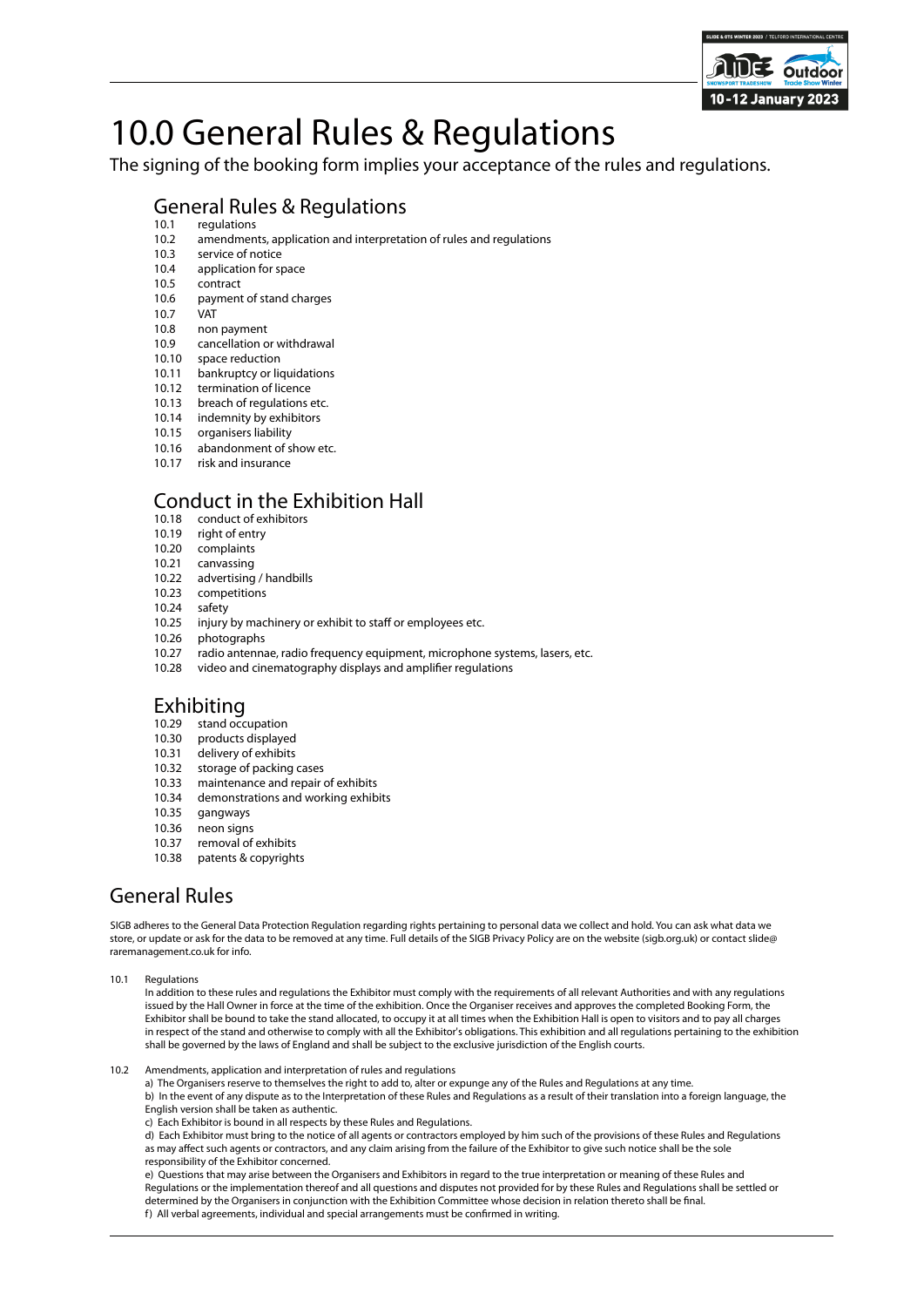

# 10.0 General Rules & Regulations

The signing of the booking form implies your acceptance of the rules and regulations.

## General Rules & Regulations

- 10.1 regulations<br>10.2 amendmen
- 10.2 amendments, application and interpretation of rules and regulations<br>10.3 service of notice
- 10.3 service of notice<br>10.4 application for sp
- 10.4 application for space<br>10.5 contract
- 10.5 contract<br>10.6 payment
- payment of stand charges<br>VAT
- $\frac{10.7}{10.8}$ non payment
- 10.9 cancellation or withdrawal
- 
- 10.10 space reduction<br>10.11 bankruptcy or libankruptcy or liquidations
- 10.12 termination of licence
- 10.13 breach of regulations etc.<br>10.14 indemnity by exhibitors
- indemnity by exhibitors
- 10.15 organisers liability
- 10.16 abandonment of show etc.<br>10.17 risk and insurance
- risk and insurance

### Conduct in the Exhibition Hall

- 10.18 conduct of exhibitors<br>10.19 right of entry
- 10.19 right of entry<br>10.20 complaints
- complaints
- 10.21 canvassing
- 10.22 advertising / handbills<br>10.23 competitions competitions
- 
- 10.24 safety
- 10.25 injury by machinery or exhibit to staff or employees etc.<br>10.26 photographs
- 10.26 photographs<br>10.27 radio antenna
- 10.27 radio antennae, radio frequency equipment, microphone systems, lasers, etc.<br>10.28 video and cinematography displays and amplifier regulations
- video and cinematography displays and amplifier regulations

### Exhibiting

- 10.29 stand occupation
- 10.30 products displayed
- 10.31 delivery of exhibits
- 10.32 storage of packing cases
- 10.33 maintenance and repair of exhibits
- 10.34 demonstrations and working exhibits
- 10.35 gangways<br>10.36 neon signs
- neon signs
- 10.37 removal of exhibits
- 10.38 patents & copyrights

## General Rules

SIGB adheres to the General Data Protection Regulation regarding rights pertaining to personal data we collect and hold. You can ask what data we store, or update or ask for the data to be removed at any time. Full details of the SIGB Privacy Policy are on the website (sigb.org.uk) or contact slide@ raremanagement.co.uk for info.

10.1 Regulations

In addition to these rules and regulations the Exhibitor must comply with the requirements of all relevant Authorities and with any regulations issued by the Hall Owner in force at the time of the exhibition. Once the Organiser receives and approves the completed Booking Form, the Exhibitor shall be bound to take the stand allocated, to occupy it at all times when the Exhibition Hall is open to visitors and to pay all charges in respect of the stand and otherwise to comply with all the Exhibitor's obligations. This exhibition and all regulations pertaining to the exhibition shall be governed by the laws of England and shall be subject to the exclusive jurisdiction of the English courts.

10.2 Amendments, application and interpretation of rules and regulations

a) The Organisers reserve to themselves the right to add to, alter or expunge any of the Rules and Regulations at any time.

b) In the event of any dispute as to the Interpretation of these Rules and Regulations as a result of their translation into a foreign language, the English version shall be taken as authentic.

c) Each Exhibitor is bound in all respects by these Rules and Regulations.

d) Each Exhibitor must bring to the notice of all agents or contractors employed by him such of the provisions of these Rules and Regulations as may affect such agents or contractors, and any claim arising from the failure of the Exhibitor to give such notice shall be the sole responsibility of the Exhibitor concerned.

e) Questions that may arise between the Organisers and Exhibitors in regard to the true interpretation or meaning of these Rules and Regulations or the implementation thereof and all questions and disputes not provided for by these Rules and Regulations shall be settled or determined by the Organisers in conjunction with the Exhibition Committee whose decision in relation thereto shall be final. f) All verbal agreements, individual and special arrangements must be confirmed in writing.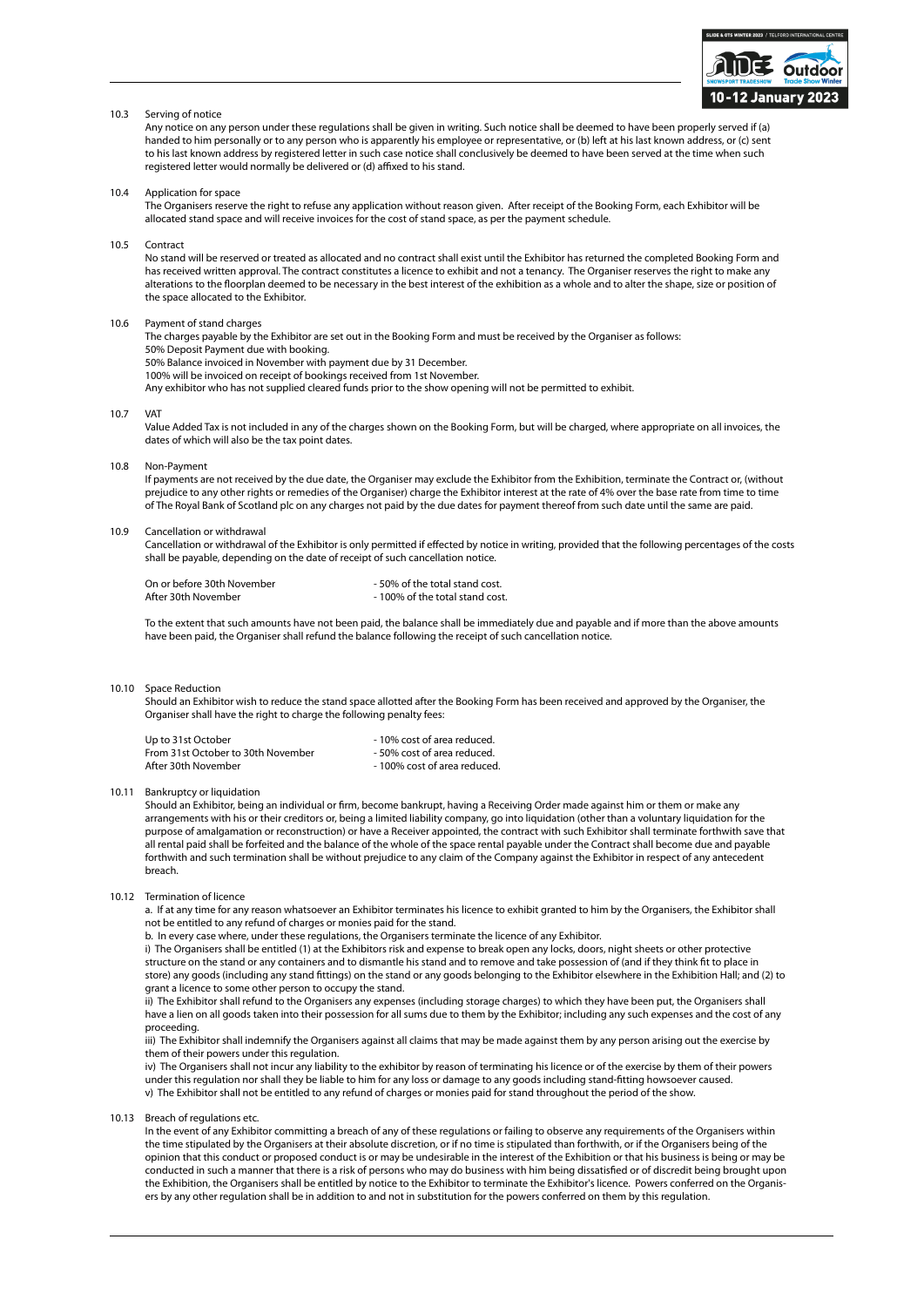

#### 10.3 Serving of notice

Any notice on any person under these regulations shall be given in writing. Such notice shall be deemed to have been properly served if (a) handed to him personally or to any person who is apparently his employee or representative, or (b) left at his last known address, or (c) sent to his last known address by registered letter in such case notice shall conclusively be deemed to have been served at the time when such registered letter would normally be delivered or (d) affixed to his stand.

10.4 Application for space

The Organisers reserve the right to refuse any application without reason given. After receipt of the Booking Form, each Exhibitor will be allocated stand space and will receive invoices for the cost of stand space, as per the payment schedule.

10.5 Contract

No stand will be reserved or treated as allocated and no contract shall exist until the Exhibitor has returned the completed Booking Form and has received written approval. The contract constitutes a licence to exhibit and not a tenancy. The Organiser reserves the right to make any alterations to the floorplan deemed to be necessary in the best interest of the exhibition as a whole and to alter the shape, size or position of the space allocated to the Exhibitor.

#### 10.6 Payment of stand charges

The charges payable by the Exhibitor are set out in the Booking Form and must be received by the Organiser as follows: 50% Deposit Payment due with booking. 50% Balance invoiced in November with payment due by 31 December. 100% will be invoiced on receipt of bookings received from 1st November.

Any exhibitor who has not supplied cleared funds prior to the show opening will not be permitted to exhibit.

10.7 VAT

Value Added Tax is not included in any of the charges shown on the Booking Form, but will be charged, where appropriate on all invoices, the dates of which will also be the tax point dates.

10.8 Non-Payment

If payments are not received by the due date, the Organiser may exclude the Exhibitor from the Exhibition, terminate the Contract or, (without prejudice to any other rights or remedies of the Organiser) charge the Exhibitor interest at the rate of 4% over the base rate from time to time of The Royal Bank of Scotland plc on any charges not paid by the due dates for payment thereof from such date until the same are paid.

#### 10.9 Cancellation or withdrawal

Cancellation or withdrawal of the Exhibitor is only permitted if effected by notice in writing, provided that the following percentages of the costs shall be payable, depending on the date of receipt of such cancellation notice.

| On or before 30th November | - 50% of the total stand cost. |
|----------------------------|--------------------------------|
| After 30th November        | -100% of the total stand cost. |

To the extent that such amounts have not been paid, the balance shall be immediately due and payable and if more than the above amounts have been paid, the Organiser shall refund the balance following the receipt of such cancellation notice.

#### 10.10 Space Reduction

Should an Exhibitor wish to reduce the stand space allotted after the Booking Form has been received and approved by the Organiser, the Organiser shall have the right to charge the following penalty fees:

Up to 31st October<br>From 31st October to 30th November - 10% cost of area reduced. From 31st October to 30th November<br>After 30th November - 100% cost of area reduced.

10.11 Bankruptcy or liquidation

Should an Exhibitor, being an individual or firm, become bankrupt, having a Receiving Order made against him or them or make any arrangements with his or their creditors or, being a limited liability company, go into liquidation (other than a voluntary liquidation for the purpose of amalgamation or reconstruction) or have a Receiver appointed, the contract with such Exhibitor shall terminate forthwith save that all rental paid shall be forfeited and the balance of the whole of the space rental payable under the Contract shall become due and payable forthwith and such termination shall be without prejudice to any claim of the Company against the Exhibitor in respect of any antecedent breach.

10.12 Termination of licence

a. If at any time for any reason whatsoever an Exhibitor terminates his licence to exhibit granted to him by the Organisers, the Exhibitor shall not be entitled to any refund of charges or monies paid for the stand.

b. In every case where, under these regulations, the Organisers terminate the licence of any Exhibitor.

i) The Organisers shall be entitled (1) at the Exhibitors risk and expense to break open any locks, doors, night sheets or other protective structure on the stand or any containers and to dismantle his stand and to remove and take possession of (and if they think fit to place in store) any goods (including any stand fittings) on the stand or any goods belonging to the Exhibitor elsewhere in the Exhibition Hall; and (2) to grant a licence to some other person to occupy the stand.

ii) The Exhibitor shall refund to the Organisers any expenses (including storage charges) to which they have been put, the Organisers shall have a lien on all goods taken into their possession for all sums due to them by the Exhibitor; including any such expenses and the cost of any proceeding.

iii) The Exhibitor shall indemnify the Organisers against all claims that may be made against them by any person arising out the exercise by them of their powers under this regulation.

iv) The Organisers shall not incur any liability to the exhibitor by reason of terminating his licence or of the exercise by them of their powers under this regulation nor shall they be liable to him for any loss or damage to any goods including stand-fitting howsoever caused. v) The Exhibitor shall not be entitled to any refund of charges or monies paid for stand throughout the period of the show.

10.13 Breach of regulations etc.

In the event of any Exhibitor committing a breach of any of these regulations or failing to observe any requirements of the Organisers within the time stipulated by the Organisers at their absolute discretion, or if no time is stipulated than forthwith, or if the Organisers being of the opinion that this conduct or proposed conduct is or may be undesirable in the interest of the Exhibition or that his business is being or may be conducted in such a manner that there is a risk of persons who may do business with him being dissatisfied or of discredit being brought upon the Exhibition, the Organisers shall be entitled by notice to the Exhibitor to terminate the Exhibitor's licence. Powers conferred on the Organisers by any other regulation shall be in addition to and not in substitution for the powers conferred on them by this regulation.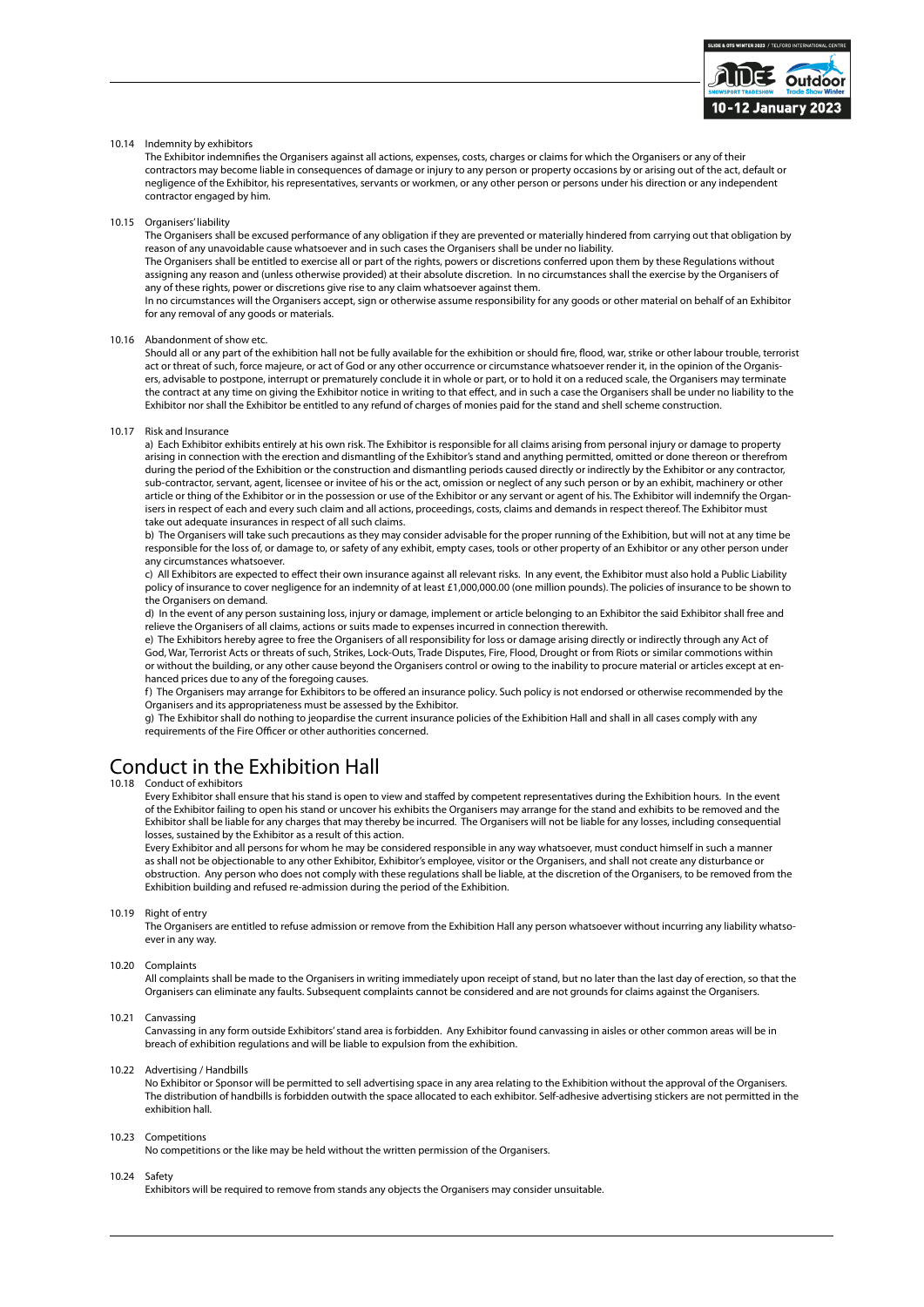

### 10.14 Indemnity by exhibitors

The Exhibitor indemnifies the Organisers against all actions, expenses, costs, charges or claims for which the Organisers or any of their contractors may become liable in consequences of damage or injury to any person or property occasions by or arising out of the act, default or negligence of the Exhibitor, his representatives, servants or workmen, or any other person or persons under his direction or any independent contractor engaged by him.

10.15 Organisers' liability

The Organisers shall be excused performance of any obligation if they are prevented or materially hindered from carrying out that obligation by reason of any unavoidable cause whatsoever and in such cases the Organisers shall be under no liability.

The Organisers shall be entitled to exercise all or part of the rights, powers or discretions conferred upon them by these Regulations without assigning any reason and (unless otherwise provided) at their absolute discretion. In no circumstances shall the exercise by the Organisers of any of these rights, power or discretions give rise to any claim whatsoever against them.

In no circumstances will the Organisers accept, sign or otherwise assume responsibility for any goods or other material on behalf of an Exhibitor for any removal of any goods or materials.

#### 10.16 Abandonment of show etc.

Should all or any part of the exhibition hall not be fully available for the exhibition or should fire, flood, war, strike or other labour trouble, terrorist act or threat of such, force majeure, or act of God or any other occurrence or circumstance whatsoever render it, in the opinion of the Organisers, advisable to postpone, interrupt or prematurely conclude it in whole or part, or to hold it on a reduced scale, the Organisers may terminate the contract at any time on giving the Exhibitor notice in writing to that effect, and in such a case the Organisers shall be under no liability to the Exhibitor nor shall the Exhibitor be entitled to any refund of charges of monies paid for the stand and shell scheme construction.

#### 10.17 Risk and Insurance

a) Each Exhibitor exhibits entirely at his own risk. The Exhibitor is responsible for all claims arising from personal injury or damage to property arising in connection with the erection and dismantling of the Exhibitor's stand and anything permitted, omitted or done thereon or therefrom during the period of the Exhibition or the construction and dismantling periods caused directly or indirectly by the Exhibitor or any contractor, sub-contractor, servant, agent, licensee or invitee of his or the act, omission or neglect of any such person or by an exhibit, machinery or other article or thing of the Exhibitor or in the possession or use of the Exhibitor or any servant or agent of his. The Exhibitor will indemnify the Organisers in respect of each and every such claim and all actions, proceedings, costs, claims and demands in respect thereof. The Exhibitor must take out adequate insurances in respect of all such claims.

b) The Organisers will take such precautions as they may consider advisable for the proper running of the Exhibition, but will not at any time be responsible for the loss of, or damage to, or safety of any exhibit, empty cases, tools or other property of an Exhibitor or any other person under any circumstances whatsoever.

c) All Exhibitors are expected to effect their own insurance against all relevant risks. In any event, the Exhibitor must also hold a Public Liability policy of insurance to cover negligence for an indemnity of at least £1,000,000.00 (one million pounds). The policies of insurance to be shown to the Organisers on demand.

d) In the event of any person sustaining loss, injury or damage, implement or article belonging to an Exhibitor the said Exhibitor shall free and relieve the Organisers of all claims, actions or suits made to expenses incurred in connection therewith.

e) The Exhibitors hereby agree to free the Organisers of all responsibility for loss or damage arising directly or indirectly through any Act of God, War, Terrorist Acts or threats of such, Strikes, Lock-Outs, Trade Disputes, Fire, Flood, Drought or from Riots or similar commotions within or without the building, or any other cause beyond the Organisers control or owing to the inability to procure material or articles except at enhanced prices due to any of the foregoing causes.

f) The Organisers may arrange for Exhibitors to be offered an insurance policy. Such policy is not endorsed or otherwise recommended by the Organisers and its appropriateness must be assessed by the Exhibitor.

g) The Exhibitor shall do nothing to jeopardise the current insurance policies of the Exhibition Hall and shall in all cases comply with any requirements of the Fire Officer or other authorities concerned.

### Conduct in the Exhibition Hall

#### 10.18 Conduct of exhibitors

Every Exhibitor shall ensure that his stand is open to view and staffed by competent representatives during the Exhibition hours. In the event of the Exhibitor failing to open his stand or uncover his exhibits the Organisers may arrange for the stand and exhibits to be removed and the Exhibitor shall be liable for any charges that may thereby be incurred. The Organisers will not be liable for any losses, including consequential losses, sustained by the Exhibitor as a result of this action.

Every Exhibitor and all persons for whom he may be considered responsible in any way whatsoever, must conduct himself in such a manner as shall not be objectionable to any other Exhibitor, Exhibitor's employee, visitor or the Organisers, and shall not create any disturbance or obstruction. Any person who does not comply with these regulations shall be liable, at the discretion of the Organisers, to be removed from the Exhibition building and refused re-admission during the period of the Exhibition.

#### 10.19 Right of entry

The Organisers are entitled to refuse admission or remove from the Exhibition Hall any person whatsoever without incurring any liability whatsoever in any way.

#### 10.20 Complaints

All complaints shall be made to the Organisers in writing immediately upon receipt of stand, but no later than the last day of erection, so that the Organisers can eliminate any faults. Subsequent complaints cannot be considered and are not grounds for claims against the Organisers.

#### 10.21 Canvassing

Canvassing in any form outside Exhibitors' stand area is forbidden. Any Exhibitor found canvassing in aisles or other common areas will be in breach of exhibition regulations and will be liable to expulsion from the exhibition.

#### 10.22 Advertising / Handbills

No Exhibitor or Sponsor will be permitted to sell advertising space in any area relating to the Exhibition without the approval of the Organisers. The distribution of handbills is forbidden outwith the space allocated to each exhibitor. Self-adhesive advertising stickers are not permitted in the exhibition hall.

#### 10.23 Competitions

No competitions or the like may be held without the written permission of the Organisers.

#### 10.24 Safety

Exhibitors will be required to remove from stands any objects the Organisers may consider unsuitable.